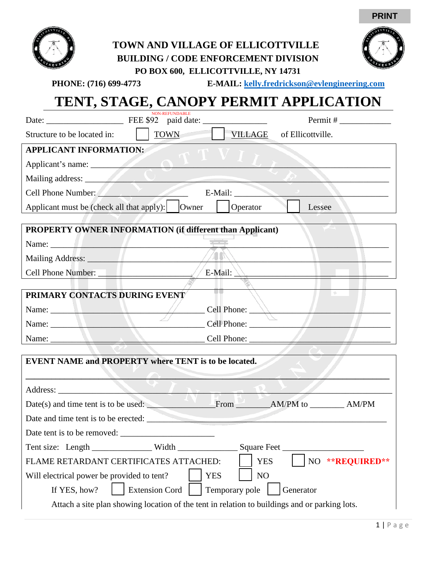|                                                                                                                                                                                                                                | <b>PRINT</b>                                                                                                                                                            |
|--------------------------------------------------------------------------------------------------------------------------------------------------------------------------------------------------------------------------------|-------------------------------------------------------------------------------------------------------------------------------------------------------------------------|
| PHONE: (716) 699-4773                                                                                                                                                                                                          | TOWN AND VILLAGE OF ELLICOTTVILLE<br><b>BUILDING / CODE ENFORCEMENT DIVISION</b><br>PO BOX 600, ELLICOTTVILLE, NY 14731<br>E-MAIL: kelly.fredrickson@evlengineering.com |
| TENT, STAGE, CANOPY PERMIT APPLICATION                                                                                                                                                                                         |                                                                                                                                                                         |
|                                                                                                                                                                                                                                |                                                                                                                                                                         |
| TOWN-<br>Structure to be located in:                                                                                                                                                                                           | VILLAGE of Ellicottville.                                                                                                                                               |
| <b>APPLICANT INFORMATION:</b>                                                                                                                                                                                                  |                                                                                                                                                                         |
| Applicant's name:                                                                                                                                                                                                              |                                                                                                                                                                         |
| Mailing address: Value of the Communication of the Communication of the Communication of the Communication of the Communication of the Communication of the Communication of the Communication of the Communication of the Com |                                                                                                                                                                         |
| Cell Phone Number; E-Mail: E-Mail:                                                                                                                                                                                             |                                                                                                                                                                         |
| Applicant must be (check all that apply):     Owner                                                                                                                                                                            | Operator<br>Lessee                                                                                                                                                      |
| PROPERTY OWNER INFORMATION (if different than Applicant)                                                                                                                                                                       |                                                                                                                                                                         |
|                                                                                                                                                                                                                                |                                                                                                                                                                         |
|                                                                                                                                                                                                                                |                                                                                                                                                                         |
| Cell Phone Number:                                                                                                                                                                                                             | E-Mail:                                                                                                                                                                 |
|                                                                                                                                                                                                                                |                                                                                                                                                                         |
| PRIMARY CONTACTS DURING EVENT                                                                                                                                                                                                  |                                                                                                                                                                         |
| Name:                                                                                                                                                                                                                          | Cell Phone:                                                                                                                                                             |
| Name:                                                                                                                                                                                                                          | Cell Phone:                                                                                                                                                             |
| Name: $\overline{\phantom{a}}$                                                                                                                                                                                                 | Cell Phone: _                                                                                                                                                           |
| <b>EVENT NAME and PROPERTY where TENT is to be located.</b>                                                                                                                                                                    |                                                                                                                                                                         |
|                                                                                                                                                                                                                                |                                                                                                                                                                         |
| N ZALET                                                                                                                                                                                                                        |                                                                                                                                                                         |
|                                                                                                                                                                                                                                |                                                                                                                                                                         |
| Date and time tent is to be erected:                                                                                                                                                                                           |                                                                                                                                                                         |
|                                                                                                                                                                                                                                |                                                                                                                                                                         |
| Tent size: Length ________________Width _____________________Square Feet ___________________________                                                                                                                           |                                                                                                                                                                         |
| NO **REQUIRED**<br><b>YES</b><br>FLAME RETARDANT CERTIFICATES ATTACHED:                                                                                                                                                        |                                                                                                                                                                         |
| Will electrical power be provided to tent?                                                                                                                                                                                     | <b>YES</b><br>N <sub>O</sub>                                                                                                                                            |
| <b>Extension Cord</b><br>If YES, how?<br>Temporary pole<br>Generator                                                                                                                                                           |                                                                                                                                                                         |
| Attach a site plan showing location of the tent in relation to buildings and or parking lots.                                                                                                                                  |                                                                                                                                                                         |